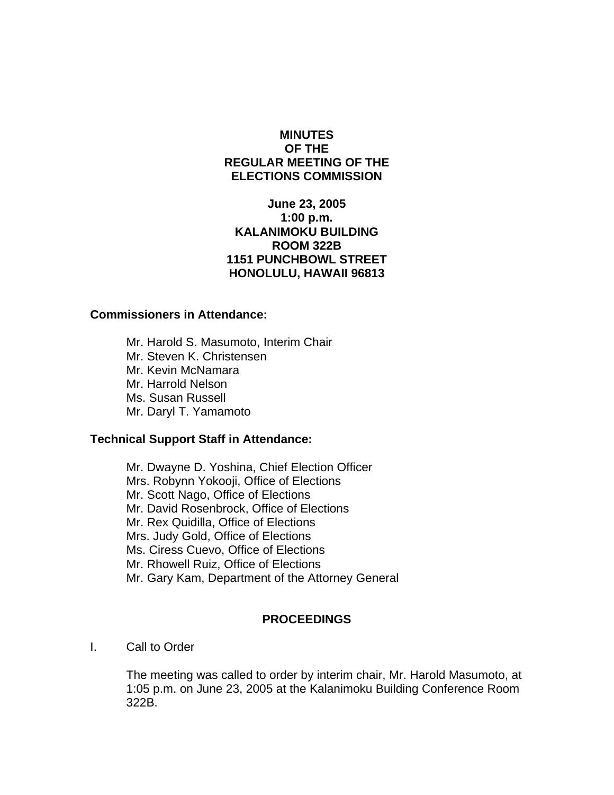# **MINUTES OF THE REGULAR MEETING OF THE ELECTIONS COMMISSION**

# **June 23, 2005 1:00 p.m. KALANIMOKU BUILDING ROOM 322B 1151 PUNCHBOWL STREET HONOLULU, HAWAII 96813**

#### **Commissioners in Attendance:**

 Mr. Harold S. Masumoto, Interim Chair Mr. Steven K. Christensen Mr. Kevin McNamara Mr. Harrold Nelson Ms. Susan Russell Mr. Daryl T. Yamamoto

## **Technical Support Staff in Attendance:**

Mr. Dwayne D. Yoshina, Chief Election Officer Mrs. Robynn Yokooji, Office of Elections Mr. Scott Nago, Office of Elections Mr. David Rosenbrock, Office of Elections Mr. Rex Quidilla, Office of Elections Mrs. Judy Gold, Office of Elections Ms. Ciress Cuevo, Office of Elections Mr. Rhowell Ruiz, Office of Elections Mr. Gary Kam, Department of the Attorney General

## **PROCEEDINGS**

I. Call to Order

The meeting was called to order by interim chair, Mr. Harold Masumoto, at 1:05 p.m. on June 23, 2005 at the Kalanimoku Building Conference Room 322B.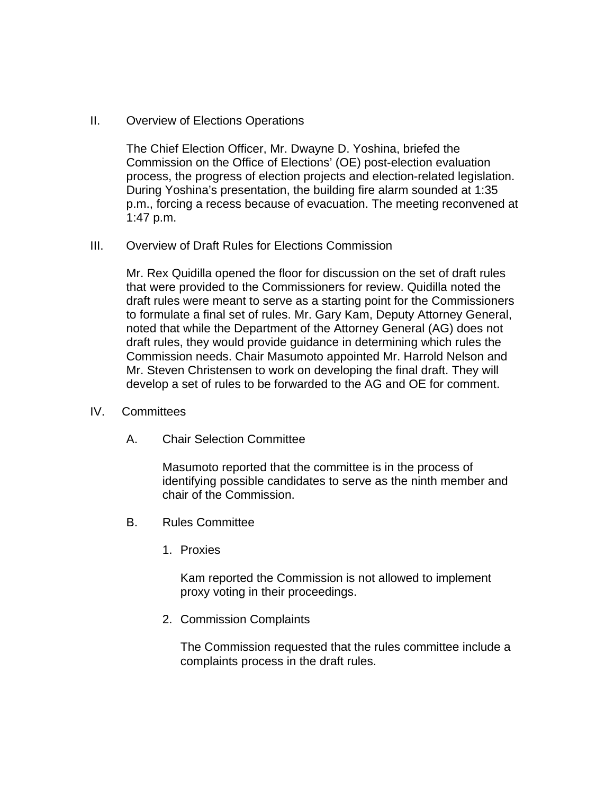II. Overview of Elections Operations

The Chief Election Officer, Mr. Dwayne D. Yoshina, briefed the Commission on the Office of Elections' (OE) post-election evaluation process, the progress of election projects and election-related legislation. During Yoshina's presentation, the building fire alarm sounded at 1:35 p.m., forcing a recess because of evacuation. The meeting reconvened at 1:47 p.m.

III. Overview of Draft Rules for Elections Commission

Mr. Rex Quidilla opened the floor for discussion on the set of draft rules that were provided to the Commissioners for review. Quidilla noted the draft rules were meant to serve as a starting point for the Commissioners to formulate a final set of rules. Mr. Gary Kam, Deputy Attorney General, noted that while the Department of the Attorney General (AG) does not draft rules, they would provide guidance in determining which rules the Commission needs. Chair Masumoto appointed Mr. Harrold Nelson and Mr. Steven Christensen to work on developing the final draft. They will develop a set of rules to be forwarded to the AG and OE for comment.

- IV. Committees
	- A. Chair Selection Committee

Masumoto reported that the committee is in the process of identifying possible candidates to serve as the ninth member and chair of the Commission.

- B. Rules Committee
	- 1. Proxies

Kam reported the Commission is not allowed to implement proxy voting in their proceedings.

2. Commission Complaints

The Commission requested that the rules committee include a complaints process in the draft rules.